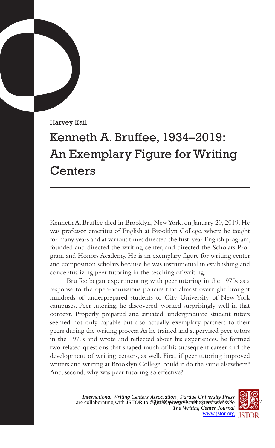Harvey Kail

## Kenneth A. Bruffee, 1934–2019: An Exemplary Figure for Writing **Centers**

Kenneth A. Bruffee died in Brooklyn, New York, on January 20, 2019. He was professor emeritus of English at Brooklyn College, where he taught for many years and at various times directed the first-year English program, founded and directed the writing center, and directed the Scholars Program and Honors Academy. He is an exemplary figure for writing center and composition scholars because he was instrumental in establishing and conceptualizing peer tutoring in the teaching of writing.

Bruffee began experimenting with peer tutoring in the 1970s as a response to the open-admissions policies that almost overnight brought hundreds of underprepared students to City University of New York campuses. Peer tutoring, he discovered, worked surprisingly well in that context. Properly prepared and situated, undergraduate student tutors seemed not only capable but also actually exemplary partners to their peers during the writing process. As he trained and supervised peer tutors in the 1970s and wrote and reflected about his experiences, he formed two related questions that shaped much of his subsequent career and the development of writing centers, as well. First, if peer tutoring improved writers and writing at Brooklyn College, could it do the same elsewhere? And, second, why was peer tutoring so effective?

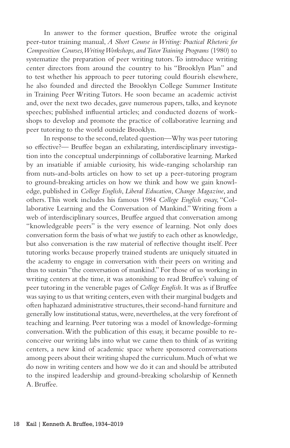In answer to the former question, Bruffee wrote the original peer-tutor training manual, *A Short Course in Writing: Practical Rhetoric for Composition Courses, Writing Workshops, and Tutor Training Programs* (1980) to systematize the preparation of peer writing tutors. To introduce writing center directors from around the country to his "Brooklyn Plan" and to test whether his approach to peer tutoring could flourish elsewhere, he also founded and directed the Brooklyn College Summer Institute in Training Peer Writing Tutors. He soon became an academic activist and, over the next two decades, gave numerous papers, talks, and keynote speeches; published influential articles; and conducted dozens of workshops to develop and promote the practice of collaborative learning and peer tutoring to the world outside Brooklyn.

In response to the second, related question—Why was peer tutoring so effective?— Bruffee began an exhilarating, interdisciplinary investigation into the conceptual underpinnings of collaborative learning. Marked by an insatiable if amiable curiosity, his wide-ranging scholarship ran from nuts-and-bolts articles on how to set up a peer-tutoring program to ground-breaking articles on how we think and how we gain knowledge, published in *College English*, *Liberal Education*, *Change Magazine*, and others. This work includes his famous 1984 *College English* essay, "Collaborative Learning and the Conversation of Mankind." Writing from a web of interdisciplinary sources, Bruffee argued that conversation among "knowledgeable peers" is the very essence of learning. Not only does conversation form the basis of what we justify to each other as knowledge, but also conversation is the raw material of reflective thought itself. Peer tutoring works because properly trained students are uniquely situated in the academy to engage in conversation with their peers on writing and thus to sustain "the conversation of mankind." For those of us working in writing centers at the time, it was astonishing to read Bruffee's valuing of peer tutoring in the venerable pages of *College English*. It was as if Bruffee was saying to us that writing centers, even with their marginal budgets and often haphazard administrative structures, their second-hand furniture and generally low institutional status, were, nevertheless, at the very forefront of teaching and learning. Peer tutoring was a model of knowledge-forming conversation. With the publication of this essay, it became possible to reconceive our writing labs into what we came then to think of as writing centers, a new kind of academic space where sponsored conversations among peers about their writing shaped the curriculum. Much of what we do now in writing centers and how we do it can and should be attributed to the inspired leadership and ground-breaking scholarship of Kenneth A. Bruffee.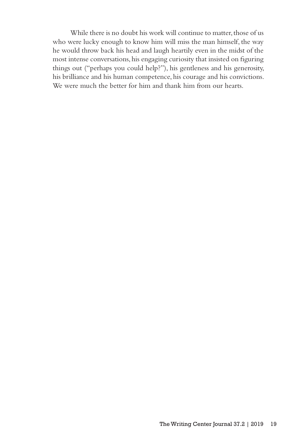While there is no doubt his work will continue to matter, those of us who were lucky enough to know him will miss the man himself, the way he would throw back his head and laugh heartily even in the midst of the most intense conversations, his engaging curiosity that insisted on figuring things out ("perhaps you could help?"), his gentleness and his generosity, his brilliance and his human competence, his courage and his convictions. We were much the better for him and thank him from our hearts.